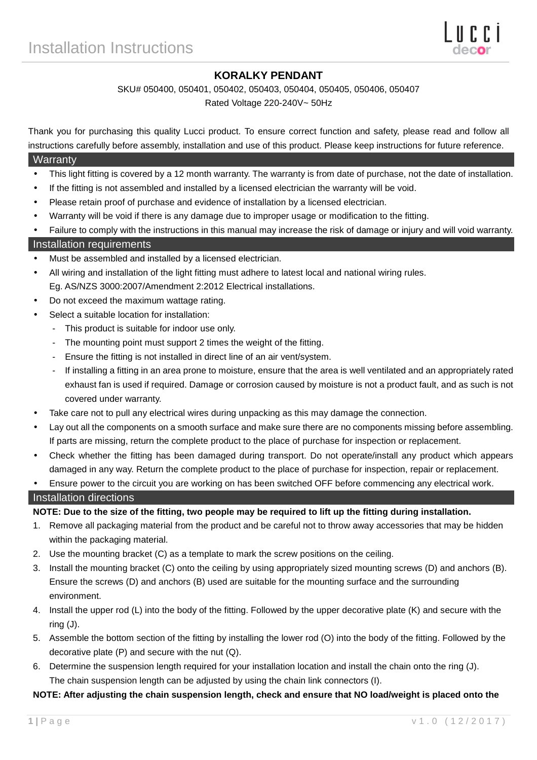# **KORALKY PENDANT**

#### SKU# 050400, 050401, 050402, 050403, 050404, 050405, 050406, 050407

Rated Voltage 220-240V~ 50Hz

Thank you for purchasing this quality Lucci product. To ensure correct function and safety, please read and follow all instructions carefully before assembly, installation and use of this product. Please keep instructions for future reference.

#### **Warranty**

- This light fitting is covered by a 12 month warranty. The warranty is from date of purchase, not the date of installation.
- If the fitting is not assembled and installed by a licensed electrician the warranty will be void.
- Please retain proof of purchase and evidence of installation by a licensed electrician.
- Warranty will be void if there is any damage due to improper usage or modification to the fitting.
- Failure to comply with the instructions in this manual may increase the risk of damage or injury and will void warranty.

#### Installation requirements

- Must be assembled and installed by a licensed electrician.
- All wiring and installation of the light fitting must adhere to latest local and national wiring rules. Eg. AS/NZS 3000:2007/Amendment 2:2012 Electrical installations.
- Do not exceed the maximum wattage rating.
- Select a suitable location for installation:
	- This product is suitable for indoor use only.
	- The mounting point must support 2 times the weight of the fitting.
	- Ensure the fitting is not installed in direct line of an air vent/system.
	- If installing a fitting in an area prone to moisture, ensure that the area is well ventilated and an appropriately rated exhaust fan is used if required. Damage or corrosion caused by moisture is not a product fault, and as such is not covered under warranty.
- Take care not to pull any electrical wires during unpacking as this may damage the connection.
- Lay out all the components on a smooth surface and make sure there are no components missing before assembling. If parts are missing, return the complete product to the place of purchase for inspection or replacement.
- Check whether the fitting has been damaged during transport. Do not operate/install any product which appears damaged in any way. Return the complete product to the place of purchase for inspection, repair or replacement.
- Ensure power to the circuit you are working on has been switched OFF before commencing any electrical work.

### Installation directions

#### **NOTE: Due to the size of the fitting, two people may be required to lift up the fitting during installation.**

- 1. Remove all packaging material from the product and be careful not to throw away accessories that may be hidden within the packaging material.
- 2. Use the mounting bracket (C) as a template to mark the screw positions on the ceiling.
- 3. Install the mounting bracket (C) onto the ceiling by using appropriately sized mounting screws (D) and anchors (B). Ensure the screws (D) and anchors (B) used are suitable for the mounting surface and the surrounding environment.
- 4. Install the upper rod (L) into the body of the fitting. Followed by the upper decorative plate (K) and secure with the ring (J).
- 5. Assemble the bottom section of the fitting by installing the lower rod (O) into the body of the fitting. Followed by the decorative plate (P) and secure with the nut (Q).
- 6. Determine the suspension length required for your installation location and install the chain onto the ring (J). The chain suspension length can be adjusted by using the chain link connectors (I).

### **NOTE: After adjusting the chain suspension length, check and ensure that NO load/weight is placed onto the**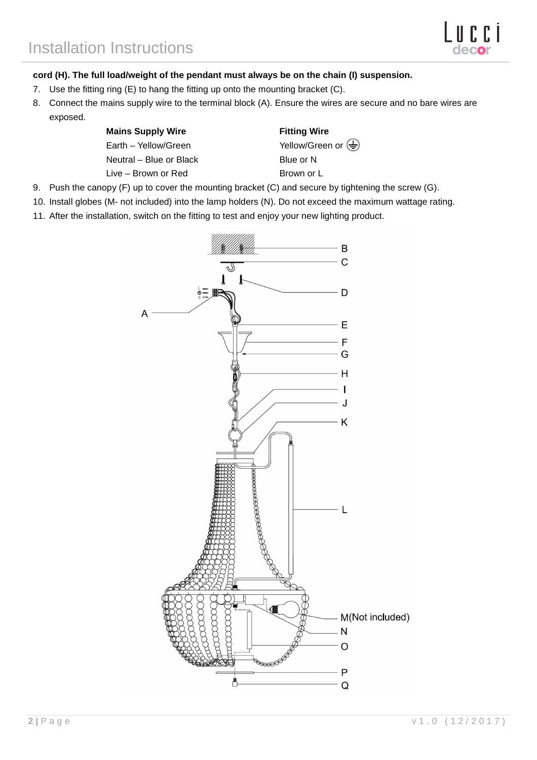### **cord (H). The full load/weight of the pendant must always be on the chain (I) suspension.**

- 7. Use the fitting ring (E) to hang the fitting up onto the mounting bracket (C).
- 8. Connect the mains supply wire to the terminal block (A). Ensure the wires are secure and no bare wires are exposed.

## **Mains Supply Wire**  Fitting Wire

Neutral – Blue or Black Blue or N Live – Brown or Red Brown or L

Earth – Yellow/Green  $V$ ellow/Green or  $\overline{\bigoplus}$ 

- 9. Push the canopy (F) up to cover the mounting bracket (C) and secure by tightening the screw (G).
- 10. Install globes (M- not included) into the lamp holders (N). Do not exceed the maximum wattage rating.
- 11. After the installation, switch on the fitting to test and enjoy your new lighting product.